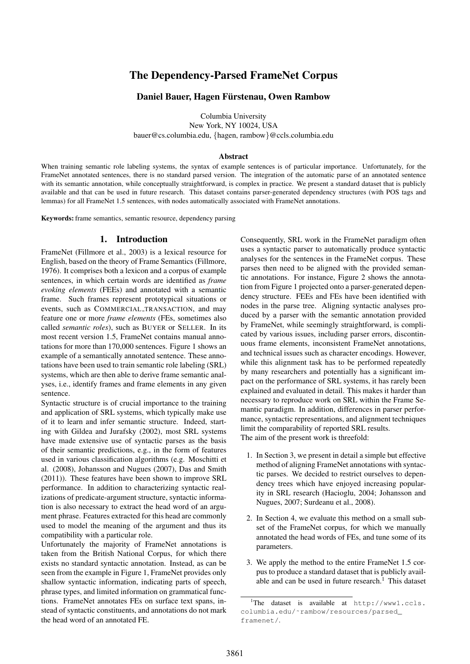# The Dependency-Parsed FrameNet Corpus

# Daniel Bauer, Hagen Fürstenau, Owen Rambow

Columbia University New York, NY 10024, USA bauer@cs.columbia.edu, {hagen, rambow}@ccls.columbia.edu

### Abstract

When training semantic role labeling systems, the syntax of example sentences is of particular importance. Unfortunately, for the FrameNet annotated sentences, there is no standard parsed version. The integration of the automatic parse of an annotated sentence with its semantic annotation, while conceptually straightforward, is complex in practice. We present a standard dataset that is publicly available and that can be used in future research. This dataset contains parser-generated dependency structures (with POS tags and lemmas) for all FrameNet 1.5 sentences, with nodes automatically associated with FrameNet annotations.

Keywords: frame semantics, semantic resource, dependency parsing

# 1. Introduction

FrameNet (Fillmore et al., 2003) is a lexical resource for English, based on the theory of Frame Semantics (Fillmore, 1976). It comprises both a lexicon and a corpus of example sentences, in which certain words are identified as *frame evoking elements* (FEEs) and annotated with a semantic frame. Such frames represent prototypical situations or events, such as COMMERCIAL TRANSACTION, and may feature one or more *frame elements* (FEs, sometimes also called *semantic roles*), such as BUYER or SELLER. In its most recent version 1.5, FrameNet contains manual annotations for more than 170,000 sentences. Figure 1 shows an example of a semantically annotated sentence. These annotations have been used to train semantic role labeling (SRL) systems, which are then able to derive frame semantic analyses, i.e., identify frames and frame elements in any given sentence.

Syntactic structure is of crucial importance to the training and application of SRL systems, which typically make use of it to learn and infer semantic structure. Indeed, starting with Gildea and Jurafsky (2002), most SRL systems have made extensive use of syntactic parses as the basis of their semantic predictions, e.g., in the form of features used in various classification algorithms (e.g. Moschitti et al. (2008), Johansson and Nugues (2007), Das and Smith (2011)). These features have been shown to improve SRL performance. In addition to characterizing syntactic realizations of predicate-argument structure, syntactic information is also necessary to extract the head word of an argument phrase. Features extracted for this head are commonly used to model the meaning of the argument and thus its compatibility with a particular role.

Unfortunately the majority of FrameNet annotations is taken from the British National Corpus, for which there exists no standard syntactic annotation. Instead, as can be seen from the example in Figure 1, FrameNet provides only shallow syntactic information, indicating parts of speech, phrase types, and limited information on grammatical functions. FrameNet annotates FEs on surface text spans, instead of syntactic constituents, and annotations do not mark the head word of an annotated FE.

Consequently, SRL work in the FrameNet paradigm often uses a syntactic parser to automatically produce syntactic analyses for the sentences in the FrameNet corpus. These parses then need to be aligned with the provided semantic annotations. For instance, Figure 2 shows the annotation from Figure 1 projected onto a parser-generated dependency structure. FEEs and FEs have been identified with nodes in the parse tree. Aligning syntactic analyses produced by a parser with the semantic annotation provided by FrameNet, while seemingly straightforward, is complicated by various issues, including parser errors, discontinuous frame elements, inconsistent FrameNet annotations, and technical issues such as character encodings. However, while this alignment task has to be performed repeatedly by many researchers and potentially has a significant impact on the performance of SRL systems, it has rarely been explained and evaluated in detail. This makes it harder than necessary to reproduce work on SRL within the Frame Semantic paradigm. In addition, differences in parser performance, syntactic representations, and alignment techniques limit the comparability of reported SRL results. The aim of the present work is threefold:

- 1. In Section 3, we present in detail a simple but effective method of aligning FrameNet annotations with syntactic parses. We decided to restrict ourselves to dependency trees which have enjoyed increasing popularity in SRL research (Hacioglu, 2004; Johansson and Nugues, 2007; Surdeanu et al., 2008).
- 2. In Section 4, we evaluate this method on a small subset of the FrameNet corpus, for which we manually annotated the head words of FEs, and tune some of its parameters.
- 3. We apply the method to the entire FrameNet 1.5 corpus to produce a standard dataset that is publicly available and can be used in future research. $<sup>1</sup>$  This dataset</sup>

<sup>&</sup>lt;sup>1</sup>The dataset is available at  $h$ ttp://www1.ccls. columbia.edu/˜rambow/resources/parsed\_ framenet/.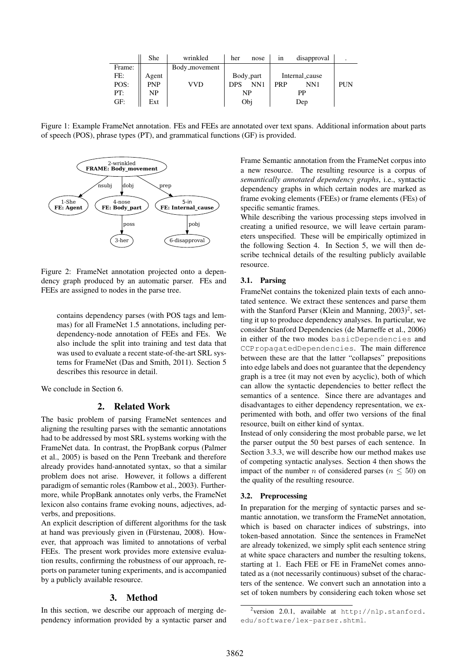|        | She   | wrinkled      | her        | nose      | 1n             | disapproval |     |
|--------|-------|---------------|------------|-----------|----------------|-------------|-----|
| Frame: |       | Body_movement |            |           |                |             |     |
| FE:    | Agent |               |            | Body_part | Internal_cause |             |     |
| POS:   | PNP   | VVD           | <b>DPS</b> | NN1       | <b>PRP</b>     | NN1         | PUN |
| PT:    | NP    |               | NP         |           | РP             |             |     |
| GF:    | Ext   |               |            | Obi       | Dep            |             |     |

Figure 1: Example FrameNet annotation. FEs and FEEs are annotated over text spans. Additional information about parts of speech (POS), phrase types (PT), and grammatical functions (GF) is provided.



Figure 2: FrameNet annotation projected onto a dependency graph produced by an automatic parser. FEs and FEEs are assigned to nodes in the parse tree.

contains dependency parses (with POS tags and lemmas) for all FrameNet 1.5 annotations, including perdependency-node annotation of FEEs and FEs. We also include the split into training and test data that was used to evaluate a recent state-of-the-art SRL systems for FrameNet (Das and Smith, 2011). Section 5 describes this resource in detail.

We conclude in Section 6.

### 2. Related Work

The basic problem of parsing FrameNet sentences and aligning the resulting parses with the semantic annotations had to be addressed by most SRL systems working with the FrameNet data. In contrast, the PropBank corpus (Palmer et al., 2005) is based on the Penn Treebank and therefore already provides hand-annotated syntax, so that a similar problem does not arise. However, it follows a different paradigm of semantic roles (Rambow et al., 2003). Furthermore, while PropBank annotates only verbs, the FrameNet lexicon also contains frame evoking nouns, adjectives, adverbs, and prepositions.

An explicit description of different algorithms for the task at hand was previously given in (Fürstenau, 2008). However, that approach was limited to annotations of verbal FEEs. The present work provides more extensive evaluation results, confirming the robustness of our approach, reports on parameter tuning experiments, and is accompanied by a publicly available resource.

#### 3. Method

In this section, we describe our approach of merging dependency information provided by a syntactic parser and Frame Semantic annotation from the FrameNet corpus into a new resource. The resulting resource is a corpus of *semantically annotated dependency graphs*, i.e., syntactic dependency graphs in which certain nodes are marked as frame evoking elements (FEEs) or frame elements (FEs) of specific semantic frames.

While describing the various processing steps involved in creating a unified resource, we will leave certain parameters unspecified. These will be empirically optimized in the following Section 4. In Section 5, we will then describe technical details of the resulting publicly available resource.

### 3.1. Parsing

FrameNet contains the tokenized plain texts of each annotated sentence. We extract these sentences and parse them with the Stanford Parser (Klein and Manning, 2003)<sup>2</sup>, setting it up to produce dependency analyses. In particular, we consider Stanford Dependencies (de Marneffe et al., 2006) in either of the two modes basicDependencies and CCPropagatedDependencies. The main difference between these are that the latter "collapses" prepositions into edge labels and does not guarantee that the dependency graph is a tree (it may not even by acyclic), both of which can allow the syntactic dependencies to better reflect the semantics of a sentence. Since there are advantages and disadvantages to either dependency representation, we experimented with both, and offer two versions of the final resource, built on either kind of syntax.

Instead of only considering the most probable parse, we let the parser output the 50 best parses of each sentence. In Section 3.3.3, we will describe how our method makes use of competing syntactic analyses. Section 4 then shows the impact of the number n of considered parses ( $n \leq 50$ ) on the quality of the resulting resource.

#### 3.2. Preprocessing

In preparation for the merging of syntactic parses and semantic annotation, we transform the FrameNet annotation, which is based on character indices of substrings, into token-based annotation. Since the sentences in FrameNet are already tokenized, we simply split each sentence string at white space characters and number the resulting tokens, starting at 1. Each FEE or FE in FrameNet comes annotated as a (not necessarily continuous) subset of the characters of the sentence. We convert such an annotation into a set of token numbers by considering each token whose set

<sup>&</sup>lt;sup>2</sup>version 2.0.1, available at http://nlp.stanford. edu/software/lex-parser.shtml.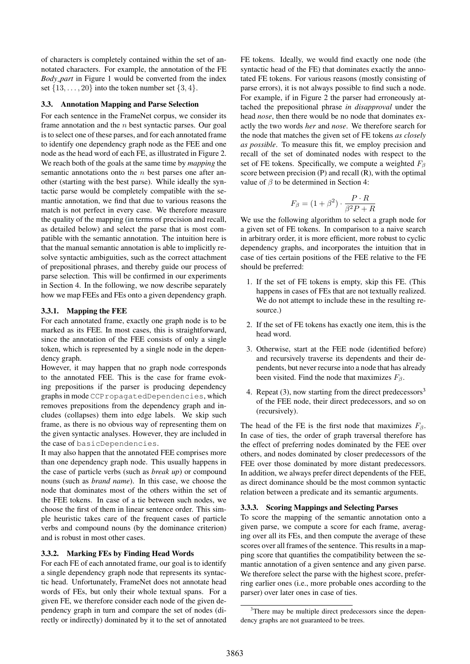of characters is completely contained within the set of annotated characters. For example, the annotation of the FE *Body part* in Figure 1 would be converted from the index set  $\{13, \ldots, 20\}$  into the token number set  $\{3, 4\}$ .

### 3.3. Annotation Mapping and Parse Selection

For each sentence in the FrameNet corpus, we consider its frame annotation and the  $n$  best syntactic parses. Our goal is to select one of these parses, and for each annotated frame to identify one dependency graph node as the FEE and one node as the head word of each FE, as illustrated in Figure 2. We reach both of the goals at the same time by *mapping* the semantic annotations onto the  $n$  best parses one after another (starting with the best parse). While ideally the syntactic parse would be completely compatible with the semantic annotation, we find that due to various reasons the match is not perfect in every case. We therefore measure the quality of the mapping (in terms of precision and recall, as detailed below) and select the parse that is most compatible with the semantic annotation. The intuition here is that the manual semantic annotation is able to implicitly resolve syntactic ambiguities, such as the correct attachment of prepositional phrases, and thereby guide our process of parse selection. This will be confirmed in our experiments in Section 4. In the following, we now describe separately how we map FEEs and FEs onto a given dependency graph.

#### 3.3.1. Mapping the FEE

For each annotated frame, exactly one graph node is to be marked as its FEE. In most cases, this is straightforward, since the annotation of the FEE consists of only a single token, which is represented by a single node in the dependency graph.

However, it may happen that no graph node corresponds to the annotated FEE. This is the case for frame evoking prepositions if the parser is producing dependency graphs in mode CCPropagatedDependencies, which removes prepositions from the dependency graph and includes (collapses) them into edge labels. We skip such frame, as there is no obvious way of representing them on the given syntactic analyses. However, they are included in the case of basicDependencies.

It may also happen that the annotated FEE comprises more than one dependency graph node. This usually happens in the case of particle verbs (such as *break up*) or compound nouns (such as *brand name*). In this case, we choose the node that dominates most of the others within the set of the FEE tokens. In case of a tie between such nodes, we choose the first of them in linear sentence order. This simple heuristic takes care of the frequent cases of particle verbs and compound nouns (by the dominance criterion) and is robust in most other cases.

### 3.3.2. Marking FEs by Finding Head Words

For each FE of each annotated frame, our goal is to identify a single dependency graph node that represents its syntactic head. Unfortunately, FrameNet does not annotate head words of FEs, but only their whole textual spans. For a given FE, we therefore consider each node of the given dependency graph in turn and compare the set of nodes (directly or indirectly) dominated by it to the set of annotated FE tokens. Ideally, we would find exactly one node (the syntactic head of the FE) that dominates exactly the annotated FE tokens. For various reasons (mostly consisting of parse errors), it is not always possible to find such a node. For example, if in Figure 2 the parser had erroneously attached the prepositional phrase *in disapproval* under the head *nose*, then there would be no node that dominates exactly the two words *her* and *nose*. We therefore search for the node that matches the given set of FE tokens *as closely as possible*. To measure this fit, we employ precision and recall of the set of dominated nodes with respect to the set of FE tokens. Specifically, we compute a weighted  $F<sub>β</sub>$ score between precision (P) and recall (R), with the optimal value of  $\beta$  to be determined in Section 4:

$$
F_{\beta} = (1 + \beta^2) \cdot \frac{P \cdot R}{\beta^2 P + R}
$$

We use the following algorithm to select a graph node for a given set of FE tokens. In comparison to a naive search in arbitrary order, it is more efficient, more robust to cyclic dependency graphs, and incorporates the intuition that in case of ties certain positions of the FEE relative to the FE should be preferred:

- 1. If the set of FE tokens is empty, skip this FE. (This happens in cases of FEs that are not textually realized. We do not attempt to include these in the resulting resource.)
- 2. If the set of FE tokens has exactly one item, this is the head word.
- 3. Otherwise, start at the FEE node (identified before) and recursively traverse its dependents and their dependents, but never recurse into a node that has already been visited. Find the node that maximizes  $F_\beta$ .
- 4. Repeat (3), now starting from the direct predecessors<sup>3</sup> of the FEE node, their direct predecessors, and so on (recursively).

The head of the FE is the first node that maximizes  $F_\beta$ . In case of ties, the order of graph traversal therefore has the effect of preferring nodes dominated by the FEE over others, and nodes dominated by closer predecessors of the FEE over those dominated by more distant predecessors. In addition, we always prefer direct dependents of the FEE, as direct dominance should be the most common syntactic relation between a predicate and its semantic arguments.

#### 3.3.3. Scoring Mappings and Selecting Parses

To score the mapping of the semantic annotation onto a given parse, we compute a score for each frame, averaging over all its FEs, and then compute the average of these scores over all frames of the sentence. This results in a mapping score that quantifies the compatibility between the semantic annotation of a given sentence and any given parse. We therefore select the parse with the highest score, preferring earlier ones (i.e., more probable ones according to the parser) over later ones in case of ties.

<sup>&</sup>lt;sup>3</sup>There may be multiple direct predecessors since the dependency graphs are not guaranteed to be trees.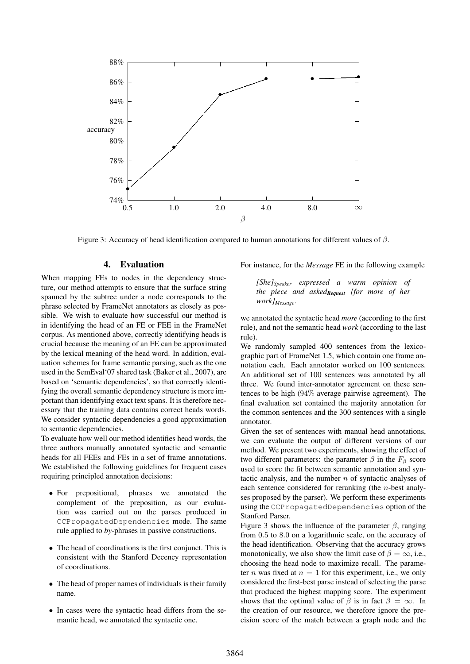

Figure 3: Accuracy of head identification compared to human annotations for different values of  $β$ .

## 4. Evaluation

When mapping FEs to nodes in the dependency structure, our method attempts to ensure that the surface string spanned by the subtree under a node corresponds to the phrase selected by FrameNet annotators as closely as possible. We wish to evaluate how successful our method is in identifying the head of an FE or FEE in the FrameNet corpus. As mentioned above, correctly identifying heads is crucial because the meaning of an FE can be approximated by the lexical meaning of the head word. In addition, evaluation schemes for frame semantic parsing, such as the one used in the SemEval'07 shared task (Baker et al., 2007), are based on 'semantic dependencies', so that correctly identifying the overall semantic dependency structure is more important than identifying exact text spans. It is therefore necessary that the training data contains correct heads words. We consider syntactic dependencies a good approximation to semantic dependencies.

To evaluate how well our method identifies head words, the three authors manually annotated syntactic and semantic heads for all FEEs and FEs in a set of frame annotations. We established the following guidelines for frequent cases requiring principled annotation decisions:

- For prepositional, phrases we annotated the complement of the preposition, as our evaluation was carried out on the parses produced in CCPropagatedDependencies mode. The same rule applied to *by*-phrases in passive constructions.
- The head of coordinations is the first conjunct. This is consistent with the Stanford Decency representation of coordinations.
- The head of proper names of individuals is their family name.
- In cases were the syntactic head differs from the semantic head, we annotated the syntactic one.

For instance, for the *Message* FE in the following example

*[She]Speaker expressed a warm opinion of the piece and askedRequest [for more of her work]Message.*

we annotated the syntactic head *more* (according to the first rule), and not the semantic head *work* (according to the last rule).

We randomly sampled 400 sentences from the lexicographic part of FrameNet 1.5, which contain one frame annotation each. Each annotator worked on 100 sentences. An additional set of 100 sentences was annotated by all three. We found inter-annotator agreement on these sentences to be high (94% average pairwise agreement). The final evaluation set contained the majority annotation for the common sentences and the 300 sentences with a single annotator.

Given the set of sentences with manual head annotations, we can evaluate the output of different versions of our method. We present two experiments, showing the effect of two different parameters: the parameter  $\beta$  in the  $F_\beta$  score used to score the fit between semantic annotation and syntactic analysis, and the number  $n$  of syntactic analyses of each sentence considered for reranking (the n-best analyses proposed by the parser). We perform these experiments using the CCPropagatedDependencies option of the Stanford Parser.

Figure 3 shows the influence of the parameter  $\beta$ , ranging from 0.5 to 8.0 on a logarithmic scale, on the accuracy of the head identification. Observing that the accuracy grows monotonically, we also show the limit case of  $\beta = \infty$ , i.e., choosing the head node to maximize recall. The parameter *n* was fixed at  $n = 1$  for this experiment, i.e., we only considered the first-best parse instead of selecting the parse that produced the highest mapping score. The experiment shows that the optimal value of  $\beta$  is in fact  $\beta = \infty$ . In the creation of our resource, we therefore ignore the precision score of the match between a graph node and the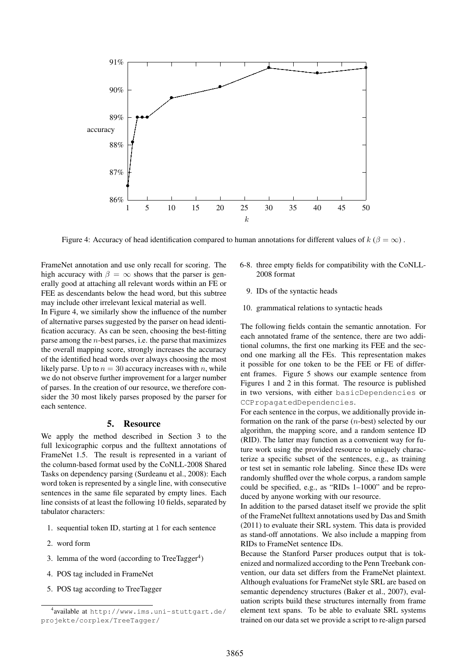

Figure 4: Accuracy of head identification compared to human annotations for different values of  $k (\beta = \infty)$ .

FrameNet annotation and use only recall for scoring. The high accuracy with  $\beta = \infty$  shows that the parser is generally good at attaching all relevant words within an FE or FEE as descendants below the head word, but this subtree may include other irrelevant lexical material as well.

In Figure 4, we similarly show the influence of the number of alternative parses suggested by the parser on head identification accuracy. As can be seen, choosing the best-fitting parse among the  $n$ -best parses, i.e. the parse that maximizes the overall mapping score, strongly increases the accuracy of the identified head words over always choosing the most likely parse. Up to  $n = 30$  accuracy increases with n, while we do not observe further improvement for a larger number of parses. In the creation of our resource, we therefore consider the 30 most likely parses proposed by the parser for each sentence.

## 5. Resource

We apply the method described in Section 3 to the full lexicographic corpus and the fulltext annotations of FrameNet 1.5. The result is represented in a variant of the column-based format used by the CoNLL-2008 Shared Tasks on dependency parsing (Surdeanu et al., 2008): Each word token is represented by a single line, with consecutive sentences in the same file separated by empty lines. Each line consists of at least the following 10 fields, separated by tabulator characters:

- 1. sequential token ID, starting at 1 for each sentence
- 2. word form
- 3. lemma of the word (according to TreeTagger $4$ )
- 4. POS tag included in FrameNet
- 5. POS tag according to TreeTagger
- 6-8. three empty fields for compatibility with the CoNLL-2008 format
	- 9. IDs of the syntactic heads
- 10. grammatical relations to syntactic heads

The following fields contain the semantic annotation. For each annotated frame of the sentence, there are two additional columns, the first one marking its FEE and the second one marking all the FEs. This representation makes it possible for one token to be the FEE or FE of different frames. Figure 5 shows our example sentence from Figures 1 and 2 in this format. The resource is published in two versions, with either basicDependencies or CCPropagatedDependencies.

For each sentence in the corpus, we additionally provide information on the rank of the parse (n-best) selected by our algorithm, the mapping score, and a random sentence ID (RID). The latter may function as a convenient way for future work using the provided resource to uniquely characterize a specific subset of the sentences, e.g., as training or test set in semantic role labeling. Since these IDs were randomly shuffled over the whole corpus, a random sample could be specified, e.g., as "RIDs 1–1000" and be reproduced by anyone working with our resource.

In addition to the parsed dataset itself we provide the split of the FrameNet fulltext annotations used by Das and Smith (2011) to evaluate their SRL system. This data is provided as stand-off annotations. We also include a mapping from RIDs to FrameNet sentence IDs.

Because the Stanford Parser produces output that is tokenized and normalized according to the Penn Treebank convention, our data set differs from the FrameNet plaintext. Although evaluations for FrameNet style SRL are based on semantic dependency structures (Baker et al., 2007), evaluation scripts build these structures internally from frame element text spans. To be able to evaluate SRL systems trained on our data set we provide a script to re-align parsed

<sup>4</sup> available at http://www.ims.uni-stuttgart.de/ projekte/corplex/TreeTagger/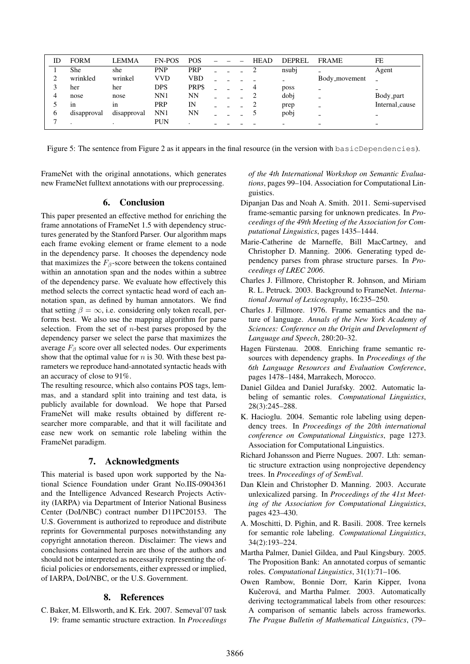| ID | <b>FORM</b> | <b>LEMMA</b> | <b>FN-POS</b> | <b>POS</b> |        |  | <b>HEAD</b> | <b>DEPREL</b> | <b>FRAME</b>             | FE                       |
|----|-------------|--------------|---------------|------------|--------|--|-------------|---------------|--------------------------|--------------------------|
|    | She         | she          | <b>PNP</b>    | <b>PRP</b> |        |  |             | nsubj         | -                        | Agent                    |
|    | wrinkled    | wrinkel      | <b>VVD</b>    | VBD        |        |  |             | -             | Body_movement            |                          |
|    | her         | her          | <b>DPS</b>    | PRP\$      |        |  |             | poss          | $\overline{\phantom{a}}$ | $\overline{\phantom{a}}$ |
|    | nose        | nose         | NN1           | NN         |        |  |             | dobj          | $\qquad \qquad$          | Body_part                |
|    | 1n          | 1n           | PRP           | IN         |        |  |             | prep          | -                        | Internal_cause           |
| O  | disapproval | disapproval  | NN1           | NN         |        |  |             | pobj          | $\overline{\phantom{a}}$ | $\overline{\phantom{a}}$ |
| −  |             |              | <b>PUN</b>    | $\cdot$    | $\sim$ |  |             |               | $\overline{\phantom{0}}$ | $\overline{\phantom{m}}$ |

Figure 5: The sentence from Figure 2 as it appears in the final resource (in the version with basicDependencies).

FrameNet with the original annotations, which generates new FrameNet fulltext annotations with our preprocessing.

# 6. Conclusion

This paper presented an effective method for enriching the frame annotations of FrameNet 1.5 with dependency structures generated by the Stanford Parser. Our algorithm maps each frame evoking element or frame element to a node in the dependency parse. It chooses the dependency node that maximizes the  $F_\beta$ -score between the tokens contained within an annotation span and the nodes within a subtree of the dependency parse. We evaluate how effectively this method selects the correct syntactic head word of each annotation span, as defined by human annotators. We find that setting  $\beta = \infty$ , i.e. considering only token recall, performs best. We also use the mapping algorithm for parse selection. From the set of  $n$ -best parses proposed by the dependency parser we select the parse that maximizes the average  $F_\beta$  score over all selected nodes. Our experiments show that the optimal value for  $n$  is 30. With these best parameters we reproduce hand-annotated syntactic heads with an accuracy of close to 91%.

The resulting resource, which also contains POS tags, lemmas, and a standard split into training and test data, is publicly available for download. We hope that Parsed FrameNet will make results obtained by different researcher more comparable, and that it will facilitate and ease new work on semantic role labeling within the FrameNet paradigm.

### 7. Acknowledgments

This material is based upon work supported by the National Science Foundation under Grant No.IIS-0904361 and the Intelligence Advanced Research Projects Activity (IARPA) via Department of Interior National Business Center (DoI/NBC) contract number D11PC20153. The U.S. Government is authorized to reproduce and distribute reprints for Governmental purposes notwithstanding any copyright annotation thereon. Disclaimer: The views and conclusions contained herein are those of the authors and should not be interpreted as necessarily representing the official policies or endorsements, either expressed or implied, of IARPA, DoI/NBC, or the U.S. Government.

### 8. References

C. Baker, M. Ellsworth, and K. Erk. 2007. Semeval'07 task 19: frame semantic structure extraction. In *Proceedings* *of the 4th International Workshop on Semantic Evaluations*, pages 99–104. Association for Computational Linguistics.

- Dipanjan Das and Noah A. Smith. 2011. Semi-supervised frame-semantic parsing for unknown predicates. In *Proceedings of the 49th Meeting of the Association for Computational Linguistics*, pages 1435–1444.
- Marie-Catherine de Marneffe, Bill MacCartney, and Christopher D. Manning. 2006. Generating typed dependency parses from phrase structure parses. In *Proceedings of LREC 2006*.
- Charles J. Fillmore, Christopher R. Johnson, and Miriam R. L. Petruck. 2003. Background to FrameNet. *International Journal of Lexicography*, 16:235–250.
- Charles J. Fillmore. 1976. Frame semantics and the nature of language. *Annals of the New York Academy of Sciences: Conference on the Origin and Development of Language and Speech*, 280:20–32.
- Hagen Fürstenau. 2008. Enriching frame semantic resources with dependency graphs. In *Proceedings of the 6th Language Resources and Evaluation Conference*, pages 1478–1484, Marrakech, Morocco.
- Daniel Gildea and Daniel Jurafsky. 2002. Automatic labeling of semantic roles. *Computational Linguistics*, 28(3):245–288.
- K. Hacioglu. 2004. Semantic role labeling using dependency trees. In *Proceedings of the 20th international conference on Computational Linguistics*, page 1273. Association for Computational Linguistics.
- Richard Johansson and Pierre Nugues. 2007. Lth: semantic structure extraction using nonprojective dependency trees. In *Proceedings of of SemEval*.
- Dan Klein and Christopher D. Manning. 2003. Accurate unlexicalized parsing. In *Proceedings of the 41st Meeting of the Association for Computational Linguistics*, pages 423–430.
- A. Moschitti, D. Pighin, and R. Basili. 2008. Tree kernels for semantic role labeling. *Computational Linguistics*, 34(2):193–224.
- Martha Palmer, Daniel Gildea, and Paul Kingsbury. 2005. The Proposition Bank: An annotated corpus of semantic roles. *Computational Linguistics*, 31(1):71–106.
- Owen Rambow, Bonnie Dorr, Karin Kipper, Ivona Kučerová, and Martha Palmer. 2003. Automatically deriving tectogrammatical labels from other resources: A comparison of semantic labels across frameworks. *The Prague Bulletin of Mathematical Linguistics*, (79–